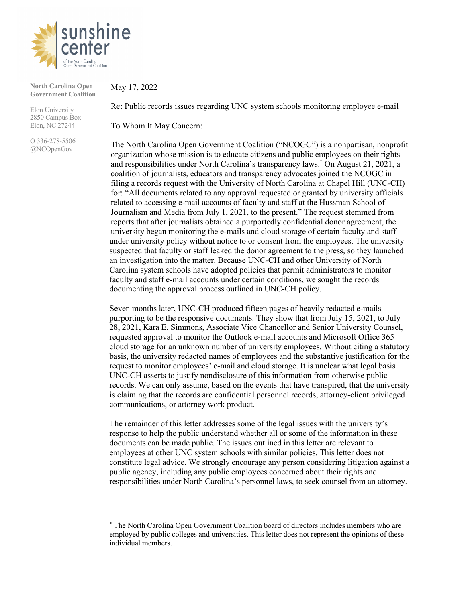

**North Carolina Open Government Coalition**

Elon University 2850 Campus Box Elon, NC 27244

O 336-278-5506 @NCOpenGov

May 17, 2022

Re: Public records issues regarding UNC system schools monitoring employee e-mail

To Whom It May Concern:

The North Carolina Open Government Coalition ("NCOGC") is a nonpartisan, nonprofit organization whose mission is to educate citizens and public employees on their rights and responsibilities under North Carolina's transparency laws.\* On August 21, 2021, a coalition of journalists, educators and transparency advocates joined the NCOGC in filing a records request with the University of North Carolina at Chapel Hill (UNC-CH) for: "All documents related to any approval requested or granted by university officials related to accessing e-mail accounts of faculty and staff at the Hussman School of Journalism and Media from July 1, 2021, to the present." The request stemmed from reports that after journalists obtained a purportedly confidential donor agreement, the university began monitoring the e-mails and cloud storage of certain faculty and staff under university policy without notice to or consent from the employees. The university suspected that faculty or staff leaked the donor agreement to the press, so they launched an investigation into the matter. Because UNC-CH and other University of North Carolina system schools have adopted policies that permit administrators to monitor faculty and staff e-mail accounts under certain conditions, we sought the records documenting the approval process outlined in UNC-CH policy.

Seven months later, UNC-CH produced fifteen pages of heavily redacted e-mails purporting to be the responsive documents. They show that from July 15, 2021, to July 28, 2021, Kara E. Simmons, Associate Vice Chancellor and Senior University Counsel, requested approval to monitor the Outlook e-mail accounts and Microsoft Office 365 cloud storage for an unknown number of university employees. Without citing a statutory basis, the university redacted names of employees and the substantive justification for the request to monitor employees' e-mail and cloud storage. It is unclear what legal basis UNC-CH asserts to justify nondisclosure of this information from otherwise public records. We can only assume, based on the events that have transpired, that the university is claiming that the records are confidential personnel records, attorney-client privileged communications, or attorney work product.

The remainder of this letter addresses some of the legal issues with the university's response to help the public understand whether all or some of the information in these documents can be made public. The issues outlined in this letter are relevant to employees at other UNC system schools with similar policies. This letter does not constitute legal advice. We strongly encourage any person considering litigation against a public agency, including any public employees concerned about their rights and responsibilities under North Carolina's personnel laws, to seek counsel from an attorney.

<sup>\*</sup> The North Carolina Open Government Coalition board of directors includes members who are employed by public colleges and universities. This letter does not represent the opinions of these individual members.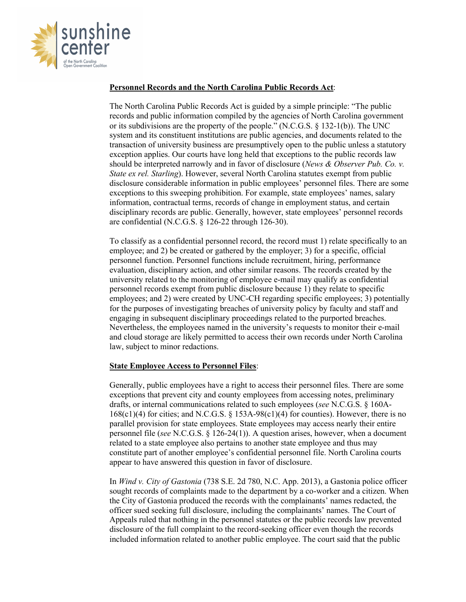

## **Personnel Records and the North Carolina Public Records Act**:

The North Carolina Public Records Act is guided by a simple principle: "The public records and public information compiled by the agencies of North Carolina government or its subdivisions are the property of the people." (N.C.G.S. § 132-1(b)). The UNC system and its constituent institutions are public agencies, and documents related to the transaction of university business are presumptively open to the public unless a statutory exception applies. Our courts have long held that exceptions to the public records law should be interpreted narrowly and in favor of disclosure (*News & Observer Pub. Co. v. State ex rel. Starling*). However, several North Carolina statutes exempt from public disclosure considerable information in public employees' personnel files. There are some exceptions to this sweeping prohibition. For example, state employees' names, salary information, contractual terms, records of change in employment status, and certain disciplinary records are public. Generally, however, state employees' personnel records are confidential (N.C.G.S. § 126-22 through 126-30).

To classify as a confidential personnel record, the record must 1) relate specifically to an employee; and 2) be created or gathered by the employer; 3) for a specific, official personnel function. Personnel functions include recruitment, hiring, performance evaluation, disciplinary action, and other similar reasons. The records created by the university related to the monitoring of employee e-mail may qualify as confidential personnel records exempt from public disclosure because 1) they relate to specific employees; and 2) were created by UNC-CH regarding specific employees; 3) potentially for the purposes of investigating breaches of university policy by faculty and staff and engaging in subsequent disciplinary proceedings related to the purported breaches. Nevertheless, the employees named in the university's requests to monitor their e-mail and cloud storage are likely permitted to access their own records under North Carolina law, subject to minor redactions.

## **State Employee Access to Personnel Files**:

Generally, public employees have a right to access their personnel files. There are some exceptions that prevent city and county employees from accessing notes, preliminary drafts, or internal communications related to such employees (*see* N.C.G.S. § 160A- $168(c1)(4)$  for cities; and N.C.G.S. § 153A-98(c1)(4) for counties). However, there is no parallel provision for state employees. State employees may access nearly their entire personnel file (*see* N.C.G.S. § 126-24(1)). A question arises, however, when a document related to a state employee also pertains to another state employee and thus may constitute part of another employee's confidential personnel file. North Carolina courts appear to have answered this question in favor of disclosure.

In *Wind v. City of Gastonia* (738 S.E. 2d 780, N.C. App. 2013), a Gastonia police officer sought records of complaints made to the department by a co-worker and a citizen. When the City of Gastonia produced the records with the complainants' names redacted, the officer sued seeking full disclosure, including the complainants' names. The Court of Appeals ruled that nothing in the personnel statutes or the public records law prevented disclosure of the full complaint to the record-seeking officer even though the records included information related to another public employee. The court said that the public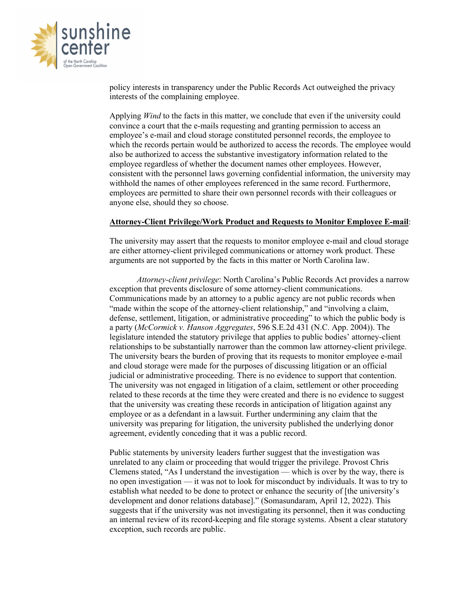

policy interests in transparency under the Public Records Act outweighed the privacy interests of the complaining employee.

Applying *Wind* to the facts in this matter, we conclude that even if the university could convince a court that the e-mails requesting and granting permission to access an employee's e-mail and cloud storage constituted personnel records, the employee to which the records pertain would be authorized to access the records. The employee would also be authorized to access the substantive investigatory information related to the employee regardless of whether the document names other employees. However, consistent with the personnel laws governing confidential information, the university may withhold the names of other employees referenced in the same record. Furthermore, employees are permitted to share their own personnel records with their colleagues or anyone else, should they so choose.

## **Attorney-Client Privilege/Work Product and Requests to Monitor Employee E-mail**:

The university may assert that the requests to monitor employee e-mail and cloud storage are either attorney-client privileged communications or attorney work product. These arguments are not supported by the facts in this matter or North Carolina law.

*Attorney-client privilege*: North Carolina's Public Records Act provides a narrow exception that prevents disclosure of some attorney-client communications. Communications made by an attorney to a public agency are not public records when "made within the scope of the attorney-client relationship," and "involving a claim, defense, settlement, litigation, or administrative proceeding" to which the public body is a party (*McCormick v. Hanson Aggregates*, 596 S.E.2d 431 (N.C. App. 2004)). The legislature intended the statutory privilege that applies to public bodies' attorney-client relationships to be substantially narrower than the common law attorney-client privilege. The university bears the burden of proving that its requests to monitor employee e-mail and cloud storage were made for the purposes of discussing litigation or an official judicial or administrative proceeding. There is no evidence to support that contention. The university was not engaged in litigation of a claim, settlement or other proceeding related to these records at the time they were created and there is no evidence to suggest that the university was creating these records in anticipation of litigation against any employee or as a defendant in a lawsuit. Further undermining any claim that the university was preparing for litigation, the university published the underlying donor agreement, evidently conceding that it was a public record.

Public statements by university leaders further suggest that the investigation was unrelated to any claim or proceeding that would trigger the privilege. Provost Chris Clemens stated, "As I understand the investigation — which is over by the way, there is no open investigation — it was not to look for misconduct by individuals. It was to try to establish what needed to be done to protect or enhance the security of [the university's development and donor relations database]." (Somasundaram, April 12, 2022). This suggests that if the university was not investigating its personnel, then it was conducting an internal review of its record-keeping and file storage systems. Absent a clear statutory exception, such records are public.